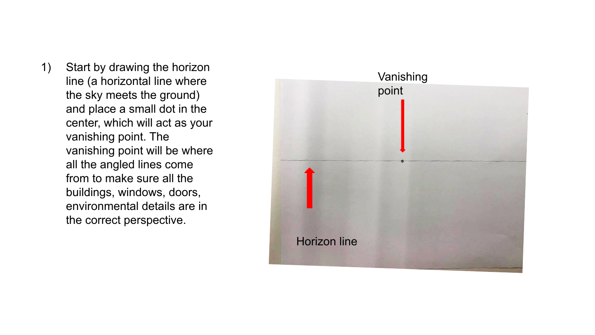1) Start by drawing the horizon line (a horizontal line where the sky meets the ground) and place a small dot in the center, which will act as your vanishing point. The vanishing point will be where all the angled lines come from to make sure all the buildings, windows, doors, environmental details are in the correct perspective.

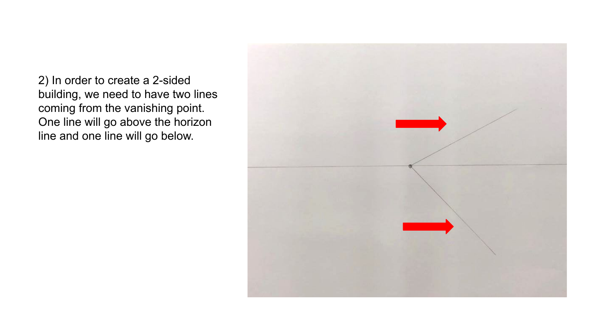2) In order to create a 2-sided building, we need to have two lines coming from the vanishing point. One line will go above the horizon line and one line will go below.

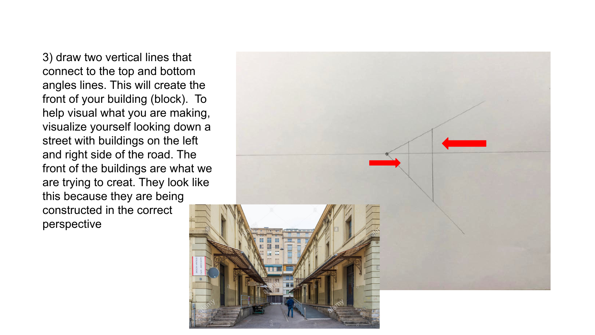3) draw two vertical lines that connect to the top and bottom angles lines. This will create the front of your building (block). To help visual what you are making, visualize yourself looking down a street with buildings on the left and right side of the road. The front of the buildings are what we are trying to creat. They look like this because they are being constructed in the correct perspective

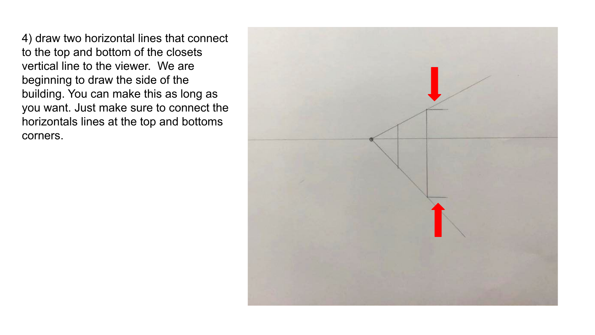4) draw two horizontal lines that connect to the top and bottom of the closets vertical line to the viewer. We are beginning to draw the side of the building. You can make this as long as you want. Just make sure to connect the horizontals lines at the top and bottoms corners.

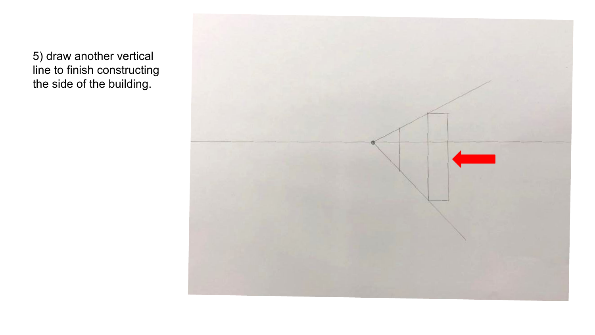5) draw another vertical line to finish constructing the side of the building.

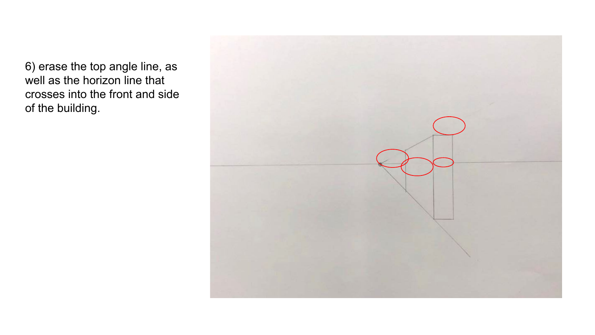6) erase the top angle line, as well as the horizon line that crosses into the front and side of the building.

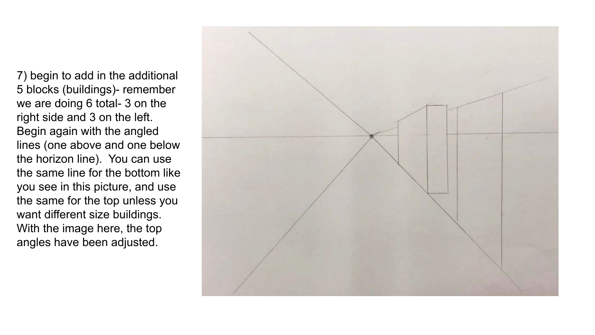7) begin to add in the additional 5 blocks (buildings)- remember we are doing 6 total- 3 on the right side and 3 on the left. Begin again with the angled lines (one above and one below the horizon line). You can use the same line for the bottom like you see in this picture, and use the same for the top unless you want different size buildings. With the image here, the top angles have been adjusted.

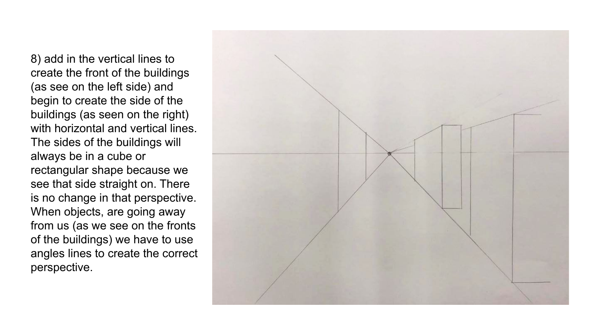8) add in the vertical lines to create the front of the buildings (as see on the left side) and begin to create the side of the buildings (as seen on the right) with horizontal and vertical lines. The sides of the buildings will always be in a cube or rectangular shape because we see that side straight on. There is no change in that perspective. When objects, are going away from us (as we see on the fronts of the buildings) we have to use angles lines to create the correct perspective.

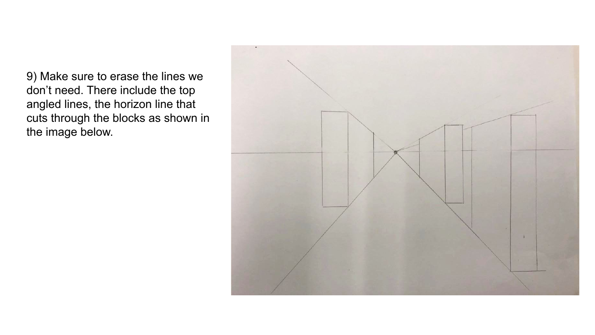9) Make sure to erase the lines we don't need. There include the top angled lines, the horizon line that cuts through the blocks as shown in the image below.